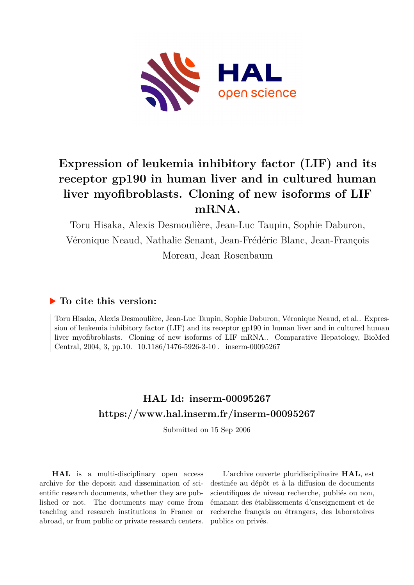

# **Expression of leukemia inhibitory factor (LIF) and its receptor gp190 in human liver and in cultured human liver myofibroblasts. Cloning of new isoforms of LIF mRNA.**

Toru Hisaka, Alexis Desmoulière, Jean-Luc Taupin, Sophie Daburon, Véronique Neaud, Nathalie Senant, Jean-Frédéric Blanc, Jean-François Moreau, Jean Rosenbaum

# **To cite this version:**

Toru Hisaka, Alexis Desmoulière, Jean-Luc Taupin, Sophie Daburon, Véronique Neaud, et al.. Expression of leukemia inhibitory factor (LIF) and its receptor gp190 in human liver and in cultured human liver myofibroblasts. Cloning of new isoforms of LIF mRNA.. Comparative Hepatology, BioMed Central, 2004, 3, pp.10.  $10.1186/1476-5926-3-10$ . inserm-00095267

# **HAL Id: inserm-00095267 <https://www.hal.inserm.fr/inserm-00095267>**

Submitted on 15 Sep 2006

**HAL** is a multi-disciplinary open access archive for the deposit and dissemination of scientific research documents, whether they are published or not. The documents may come from teaching and research institutions in France or abroad, or from public or private research centers.

L'archive ouverte pluridisciplinaire **HAL**, est destinée au dépôt et à la diffusion de documents scientifiques de niveau recherche, publiés ou non, émanant des établissements d'enseignement et de recherche français ou étrangers, des laboratoires publics ou privés.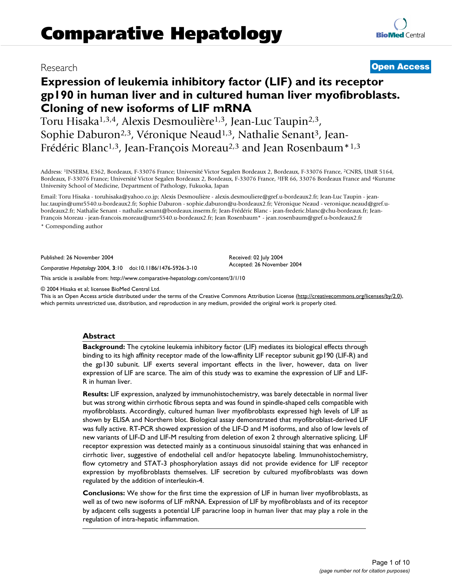## Research **[Open Access](http://www.biomedcentral.com/info/about/charter/)**

# **Expression of leukemia inhibitory factor (LIF) and its receptor gp190 in human liver and in cultured human liver myofibroblasts. Cloning of new isoforms of LIF mRNA**

Toru Hisaka1,3,4, Alexis Desmoulière1,3, Jean-Luc Taupin2,3, Sophie Daburon<sup>2,3</sup>, Véronique Neaud<sup>1,3</sup>, Nathalie Senant<sup>3</sup>, Jean-Frédéric Blanc<sup>1,3</sup>, Jean-François Moreau<sup>2,3</sup> and Jean Rosenbaum<sup>\*1,3</sup>

Address: <sup>1</sup>INSERM, E362, Bordeaux, F-33076 France; Université Victor Segalen Bordeaux 2, Bordeaux, F-33076 France, <sup>2</sup>CNRS, UMR 5164, Bordeaux, F-33076 France; Université Victor Segalen Bordeaux 2, Bordeaux, F-33076 France, <sup>3</sup>IFR 66, 33076 Bordeaux France and <sup>4</sup>Kurume University School of Medicine, Department of Pathology, Fukuoka, Japan

Email: Toru Hisaka - toruhisaka@yahoo.co.jp; Alexis Desmoulière - alexis.desmouliere@gref.u-bordeaux2.fr; Jean-Luc Taupin - jeanluc.taupin@umr5540.u-bordeaux2.fr; Sophie Daburon - sophie.daburon@u-bordeaux2.fr; Véronique Neaud - veronique.neaud@gref.ubordeaux2.fr; Nathalie Senant - nathalie.senant@bordeaux.inserm.fr; Jean-Frédéric Blanc - jean-frederic.blanc@chu-bordeaux.fr; Jean-François Moreau - jean-francois.moreau@umr5540.u-bordeaux2.fr; Jean Rosenbaum\* - jean.rosenbaum@gref.u-bordeaux2.fr

\* Corresponding author

Published: 26 November 2004

*Comparative Hepatology* 2004, **3**:10 doi:10.1186/1476-5926-3-10

[This article is available from: http://www.comparative-hepatology.com/content/3/1/10](http://www.comparative-hepatology.com/content/3/1/10)

© 2004 Hisaka et al; licensee BioMed Central Ltd.

This is an Open Access article distributed under the terms of the Creative Commons Attribution License [\(http://creativecommons.org/licenses/by/2.0\)](http://creativecommons.org/licenses/by/2.0), which permits unrestricted use, distribution, and reproduction in any medium, provided the original work is properly cited.

Received: 02 July 2004 Accepted: 26 November 2004

#### **Abstract**

**Background:** The cytokine leukemia inhibitory factor (LIF) mediates its biological effects through binding to its high affinity receptor made of the low-affinity LIF receptor subunit gp190 (LIF-R) and the gp130 subunit. LIF exerts several important effects in the liver, however, data on liver expression of LIF are scarce. The aim of this study was to examine the expression of LIF and LIF-R in human liver.

**Results:** LIF expression, analyzed by immunohistochemistry, was barely detectable in normal liver but was strong within cirrhotic fibrous septa and was found in spindle-shaped cells compatible with myofibroblasts. Accordingly, cultured human liver myofibroblasts expressed high levels of LIF as shown by ELISA and Northern blot. Biological assay demonstrated that myofibroblast-derived LIF was fully active. RT-PCR showed expression of the LIF-D and M isoforms, and also of low levels of new variants of LIF-D and LIF-M resulting from deletion of exon 2 through alternative splicing. LIF receptor expression was detected mainly as a continuous sinusoidal staining that was enhanced in cirrhotic liver, suggestive of endothelial cell and/or hepatocyte labeling. Immunohistochemistry, flow cytometry and STAT-3 phosphorylation assays did not provide evidence for LIF receptor expression by myofibroblasts themselves. LIF secretion by cultured myofibroblasts was down regulated by the addition of interleukin-4.

**Conclusions:** We show for the first time the expression of LIF in human liver myofibroblasts, as well as of two new isoforms of LIF mRNA. Expression of LIF by myofibroblasts and of its receptor by adjacent cells suggests a potential LIF paracrine loop in human liver that may play a role in the regulation of intra-hepatic inflammation.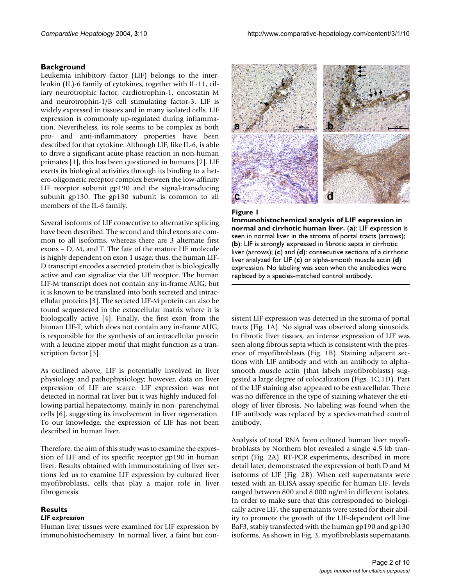### **Background**

Leukemia inhibitory factor (LIF) belongs to the interleukin (IL)-6 family of cytokines, together with IL-11, ciliary neurotrophic factor, cardiotrophin-1, oncostatin M and neurotrophin-1/B cell stimulating factor-3. LIF is widely expressed in tissues and in many isolated cells. LIF expression is commonly up-regulated during inflammation. Nevertheless, its role seems to be complex as both pro- and anti-inflammatory properties have been described for that cytokine. Although LIF, like IL-6, is able to drive a significant acute-phase reaction in non-human primates [1], this has been questioned in humans [2]. LIF exerts its biological activities through its binding to a hetero-oligomeric receptor complex between the low-affinity LIF receptor subunit gp190 and the signal-transducing subunit gp130. The gp130 subunit is common to all members of the IL-6 family.

Several isoforms of LIF consecutive to alternative splicing have been described. The second and third exons are common to all isoforms, whereas there are 3 alternate first exons – D, M, and T. The fate of the mature LIF molecule is highly dependent on exon 1 usage; thus, the human LIF-D transcript encodes a secreted protein that is biologically active and can signalize via the LIF receptor. The human LIF-M transcript does not contain any in-frame AUG, but it is known to be translated into both secreted and intracellular proteins [3]. The secreted LIF-M protein can also be found sequestered in the extracellular matrix where it is biologically active [4]. Finally, the first exon from the human LIF-T, which does not contain any in-frame AUG, is responsible for the synthesis of an intracellular protein with a leucine zipper motif that might function as a transcription factor [5].

As outlined above, LIF is potentially involved in liver physiology and pathophysiology; however, data on liver expression of LIF are scarce. LIF expression was not detected in normal rat liver but it was highly induced following partial hepatectomy, mainly in non- parenchymal cells [6], suggesting its involvement in liver regeneration. To our knowledge, the expression of LIF has not been described in human liver.

Therefore, the aim of this study was to examine the expression of LIF and of its specific receptor gp190 in human liver. Results obtained with immunostaining of liver sections led us to examine LIF expression by cultured liver myofibroblasts, cells that play a major role in liver fibrogenesis.

#### **Results** *LIF expression*

Human liver tissues were examined for LIF expression by immunohistochemistry. In normal liver, a faint but con-



#### **Figure 1**

**Immunohistochemical analysis of LIF expression in normal and cirrhotic human liver.** (**a**): LIF expression is seen in normal liver in the stroma of portal tracts (arrows); (**b**): LIF is strongly expressed in fibrotic septa in cirrhotic liver (arrows); (**c**) and (**d**): consecutive sections of a cirrhotic liver analyzed for LIF (**c**) or alpha-smooth muscle actin (**d**) expression. No labeling was seen when the antibodies were replaced by a species-matched control antibody.

sistent LIF expression was detected in the stroma of portal tracts (Fig. 1A). No signal was observed along sinusoids. In fibrotic liver tissues, an intense expression of LIF was seen along fibrous septa which is consistent with the presence of myofibroblasts (Fig. 1B). Staining adjacent sections with LIF antibody and with an antibody to alphasmooth muscle actin (that labels myofibroblasts) suggested a large degree of colocalization (Figs. 1C,1D). Part of the LIF staining also appeared to be extracellular. There was no difference in the type of staining whatever the etiology of liver fibrosis. No labeling was found when the LIF antibody was replaced by a species-matched control antibody.

Analysis of total RNA from cultured human liver myofibroblasts by Northern blot revealed a single 4.5 kb transcript (Fig. 2A). RT-PCR experiments, described in more detail later, demonstrated the expression of both D and M isoforms of LIF (Fig. 2B). When cell supernatants were tested with an ELISA assay specific for human LIF, levels ranged between 800 and 8 000 ng/ml in different isolates. In order to make sure that this corresponded to biologically active LIF, the supernatants were tested for their ability to promote the growth of the LIF-dependent cell line BaF3, stably transfected with the human gp190 and gp130 isoforms. As shown in Fig. 3, myofibroblasts supernatants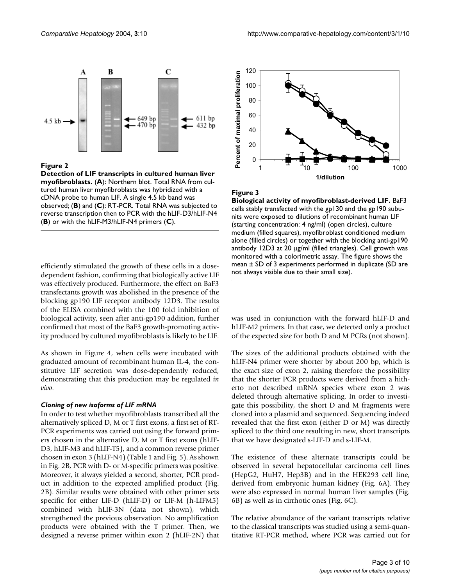

#### **Figure 2**

**Detection of LIF transcripts in cultured human liver myofibroblasts.** (**A**): Northern blot. Total RNA from cultured human liver myofibroblasts was hybridized with a cDNA probe to human LIF. A single 4.5 kb band was observed; (**B**) and (**C**): RT-PCR. Total RNA was subjected to reverse transcription then to PCR with the hLIF-D3/hLIF-N4 (**B**) or with the hLIF-M3/hLIF-N4 primers (**C**).

efficiently stimulated the growth of these cells in a dosedependent fashion, confirming that biologically active LIF was effectively produced. Furthermore, the effect on BaF3 transfectants growth was abolished in the presence of the blocking gp190 LIF receptor antibody 12D3. The results of the ELISA combined with the 100 fold inhibition of biological activity, seen after anti-gp190 addition, further confirmed that most of the BaF3 growth-promoting activity produced by cultured myofibroblasts is likely to be LIF.

As shown in Figure 4, when cells were incubated with graduated amount of recombinant human IL-4, the constitutive LIF secretion was dose-dependently reduced, demonstrating that this production may be regulated *in vivo*.

#### *Cloning of new isoforms of LIF mRNA*

In order to test whether myofibroblasts transcribed all the alternatively spliced D, M or T first exons, a first set of RT-PCR experiments was carried out using the forward primers chosen in the alternative D, M or T first exons (hLIF-D3, hLIF-M3 and hLIF-T5), and a common reverse primer chosen in exon 3 (hLIF-N4) (Table [1](#page-4-0) and Fig. 5). As shown in Fig. 2B, PCR with D- or M-specific primers was positive. Moreover, it always yielded a second, shorter, PCR product in addition to the expected amplified product (Fig. 2B). Similar results were obtained with other primer sets specific for either LIF-D (hLIF-D) or LIF-M (h-LIFM5) combined with hLIF-3N (data not shown), which strengthened the previous observation. No amplification products were obtained with the T primer. Then, we designed a reverse primer within exon 2 (hLIF-2N) that



#### **Figure 3**

**Biological activity of myofibroblast-derived LIF.** BaF3 cells stably transfected with the gp130 and the gp190 subunits were exposed to dilutions of recombinant human LIF (starting concentration: 4 ng/ml) (open circles), culture medium (filled squares), myofibroblast conditioned medium alone (filled circles) or together with the blocking anti-gp190 antibody 12D3 at 20 µg/ml (filled triangles). Cell growth was monitored with a colorimetric assay. The figure shows the mean ± SD of 3 experiments performed in duplicate (SD are not always visible due to their small size).

was used in conjunction with the forward hLIF-D and hLIF-M2 primers. In that case, we detected only a product of the expected size for both D and M PCRs (not shown).

The sizes of the additional products obtained with the hLIF-N4 primer were shorter by about 200 bp, which is the exact size of exon 2, raising therefore the possibility that the shorter PCR products were derived from a hitherto not described mRNA species where exon 2 was deleted through alternative splicing. In order to investigate this possibility, the short D and M fragments were cloned into a plasmid and sequenced. Sequencing indeed revealed that the first exon (either D or M) was directly spliced to the third one resulting in new, short transcripts that we have designated s-LIF-D and s-LIF-M.

The existence of these alternate transcripts could be observed in several hepatocellular carcinoma cell lines (HepG2, HuH7, Hep3B) and in the HEK293 cell line, derived from embryonic human kidney (Fig. 6A). They were also expressed in normal human liver samples (Fig. 6B) as well as in cirrhotic ones (Fig. 6C).

The relative abundance of the variant transcripts relative to the classical transcripts was studied using a semi-quantitative RT-PCR method, where PCR was carried out for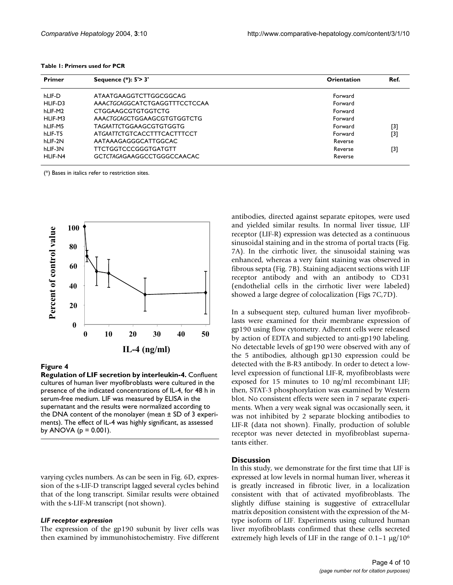<span id="page-4-0"></span>

|  |  | Table 1: Primers used for PCR |  |  |  |
|--|--|-------------------------------|--|--|--|
|--|--|-------------------------------|--|--|--|

| Primer  | Sequence (*): 5'> 3'          | <b>Orientation</b> | Ref.                                                                                                                                                                             |  |  |
|---------|-------------------------------|--------------------|----------------------------------------------------------------------------------------------------------------------------------------------------------------------------------|--|--|
| hLIF-D  | ATAATGAAGGTCTTGGCGGCAG        | Forward            |                                                                                                                                                                                  |  |  |
| HLIF-D3 | AAACTGCAGGCATCTGAGGTTTCCTCCAA | Forward            |                                                                                                                                                                                  |  |  |
| hLIF-M2 | <b>CTGGAAGCGTGTGGTCTG</b>     | Forward            |                                                                                                                                                                                  |  |  |
| HLIF-M3 | AAACTGCAGCTGGAAGCGTGTGGTCTG   | Forward            |                                                                                                                                                                                  |  |  |
| hLIF-M5 | TAGAATTCTGGAAGCGTGTGGTG       | Forward            | $[3] % \includegraphics[width=0.9\columnwidth]{figures/fig_1a} \caption{Schematic diagram of the top of the top of the top of the top of the top of the right.} \label{fig:1} %$ |  |  |
| hLIF-T5 | ATGAATTCTGTCACCTTTCACTTTCCT   | Forward            | $[3]$                                                                                                                                                                            |  |  |
| hLIF-2N | AATAAAGAGGGCATTGGCAC          | Reverse            |                                                                                                                                                                                  |  |  |
| hLIF-3N | TTCTGGTCCCGGGTGATGTT          | Reverse            | [3]                                                                                                                                                                              |  |  |
| HLIF-N4 | GCTCTAGAGAAGGCCTGGGCCAACAC    | Reverse            |                                                                                                                                                                                  |  |  |

(\*) Bases in italics refer to restriction sites.



#### **Figure 4**

**Regulation of LIF secretion by interleukin-4.** Confluent cultures of human liver myofibroblasts were cultured in the presence of the indicated concentrations of IL-4, for 48 h in serum-free medium. LIF was measured by ELISA in the supernatant and the results were normalized according to the DNA content of the monolayer (mean ± SD of 3 experiments). The effect of IL-4 was highly significant, as assessed by ANOVA ( $p = 0.001$ ).

varying cycles numbers. As can be seen in Fig. 6D, expression of the s-LIF-D transcript lagged several cycles behind that of the long transcript. Similar results were obtained with the s-LIF-M transcript (not shown).

#### *LIF receptor expression*

The expression of the gp190 subunit by liver cells was then examined by immunohistochemistry. Five different antibodies, directed against separate epitopes, were used and yielded similar results. In normal liver tissue, LIF receptor (LIF-R) expression was detected as a continuous sinusoidal staining and in the stroma of portal tracts (Fig. [7](#page-7-0)A). In the cirrhotic liver, the sinusoidal staining was enhanced, whereas a very faint staining was observed in fibrous septa (Fig. [7B](#page-7-0)). Staining adjacent sections with LIF receptor antibody and with an antibody to CD31 (endothelial cells in the cirrhotic liver were labeled) showed a large degree of colocalization (Figs [7C](#page-7-0),7D).

In a subsequent step, cultured human liver myofibroblasts were examined for their membrane expression of gp190 using flow cytometry. Adherent cells were released by action of EDTA and subjected to anti-gp190 labeling. No detectable levels of gp190 were observed with any of the 5 antibodies, although gp130 expression could be detected with the B-R3 antibody. In order to detect a lowlevel expression of functional LIF-R, myofibroblasts were exposed for 15 minutes to 10 ng/ml recombinant LIF; then, STAT-3 phosphorylation was examined by Western blot. No consistent effects were seen in 7 separate experiments. When a very weak signal was occasionally seen, it was not inhibited by 2 separate blocking antibodies to LIF-R (data not shown). Finally, production of soluble receptor was never detected in myofibroblast supernatants either.

#### **Discussion**

In this study, we demonstrate for the first time that LIF is expressed at low levels in normal human liver, whereas it is greatly increased in fibrotic liver, in a localization consistent with that of activated myofibroblasts. The slightly diffuse staining is suggestive of extracellular matrix deposition consistent with the expression of the Mtype isoform of LIF. Experiments using cultured human liver myofibroblasts confirmed that these cells secreted extremely high levels of LIF in the range of  $0.1-1 \mu g/10^6$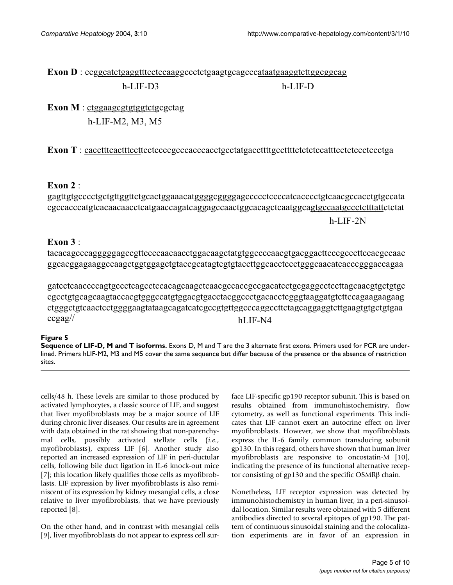# **Exon D** : ccggcatctgaggtttcctccaaggccctctgaagtgcagcccataatgaaggtcttggcggcag h-LIF-D3 h-LIF-D

**Exon M** : ctggaagcgtgtggtctgcgctag h-LIF-M2, M3, M5

**Exon T** : cacctttcactttccttcctccccgcccacccacctgcctatgaccttttgccttttctctctccatttcctctccctccctga

## **Exon 2** :

h-LIF-T5 gagttgtgcccctgctgttggttctgcactggaaacatggggcggggagccccctccccatcacccctgtcaacgccacctgtgccata cgccacccatgtcacaacaacctcatgaaccagatcaggagccaactggcacagctcaatggcagtgccaatgccctctttattctctat

h-LIF-2N

## **Exon 3** :

tacacagcccagggggagccgttccccaacaacctggacaagctatgtggccccaacgtgacggacttcccgcccttccacgccaac ggcacggagaaggccaagctggtggagctgtaccgcatagtcgtgtaccttggcacctccctgggcaacatcacccgggaccagaa

gatcctcaaccccagtgccctcagcctccacagcaagctcaacgccaccgccgacatcctgcgaggcctccttagcaacgtgctgtgc cgcctgtgcagcaagtaccacgtgggccatgtggacgtgacctacggccctgacacctcgggtaaggatgtcttccagaagaagaag ctgggctgtcaactcctggggaagtataagcagatcatcgccgtgttggcccaggccttctagcaggaggtcttgaagtgtgctgtgaa ccgag// hLIF-N4

### **Figure 5**

**Sequence of LIF-D, M and T isoforms.** Exons D, M and T are the 3 alternate first exons. Primers used for PCR are underlined. Primers hLIF-M2, M3 and M5 cover the same sequence but differ because of the presence or the absence of restriction sites.

cells/48 h. These levels are similar to those produced by activated lymphocytes, a classic source of LIF, and suggest that liver myofibroblasts may be a major source of LIF during chronic liver diseases. Our results are in agreement with data obtained in the rat showing that non-parenchymal cells, possibly activated stellate cells (*i.e.*, myofibroblasts), express LIF [6]. Another study also reported an increased expression of LIF in peri-ductular cells, following bile duct ligation in IL-6 knock-out mice [7]; this location likely qualifies those cells as myofibroblasts. LIF expression by liver myofibroblasts is also reminiscent of its expression by kidney mesangial cells, a close relative to liver myofibroblasts, that we have previously reported [8].

On the other hand, and in contrast with mesangial cells [9], liver myofibroblasts do not appear to express cell surface LIF-specific gp190 receptor subunit. This is based on results obtained from immunohistochemistry, flow cytometry, as well as functional experiments. This indicates that LIF cannot exert an autocrine effect on liver myofibroblasts. However, we show that myofibroblasts express the IL-6 family common transducing subunit gp130. In this regard, others have shown that human liver myofibroblasts are responsive to oncostatin-M [10], indicating the presence of its functional alternative receptor consisting of gp130 and the specific OSMRβ chain.

Nonetheless, LIF receptor expression was detected by immunohistochemistry in human liver, in a peri-sinusoidal location. Similar results were obtained with 5 different antibodies directed to several epitopes of gp190. The pattern of continuous sinusoidal staining and the colocalization experiments are in favor of an expression in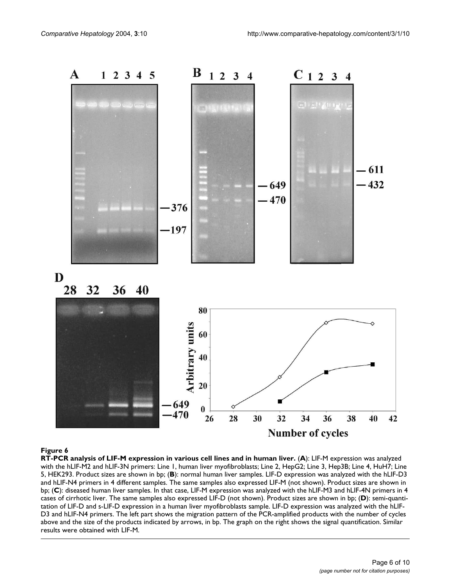

#### Figure 6

**RT-PCR analysis of LIF-M expression in various cell lines and in human liver.** (**A**): LIF-M expression was analyzed with the hLIF-M2 and hLIF-3N primers: Line 1, human liver myofibroblasts; Line 2, HepG2; Line 3, Hep3B; Line 4, HuH7; Line 5, HEK293. Product sizes are shown in bp; (**B**): normal human liver samples. LIF-D expression was analyzed with the hLIF-D3 and hLIF-N4 primers in 4 different samples. The same samples also expressed LIF-M (not shown). Product sizes are shown in bp; (**C**): diseased human liver samples. In that case, LIF-M expression was analyzed with the hLIF-M3 and hLIF-4N primers in 4 cases of cirrhotic liver. The same samples also expressed LIF-D (not shown). Product sizes are shown in bp; (**D**): semi-quantitation of LIF-D and s-LIF-D expression in a human liver myofibroblasts sample. LIF-D expression was analyzed with the hLIF-D3 and hLIF-N4 primers. The left part shows the migration pattern of the PCR-amplified products with the number of cycles above and the size of the products indicated by arrows, in bp. The graph on the right shows the signal quantification. Similar results were obtained with LIF-M.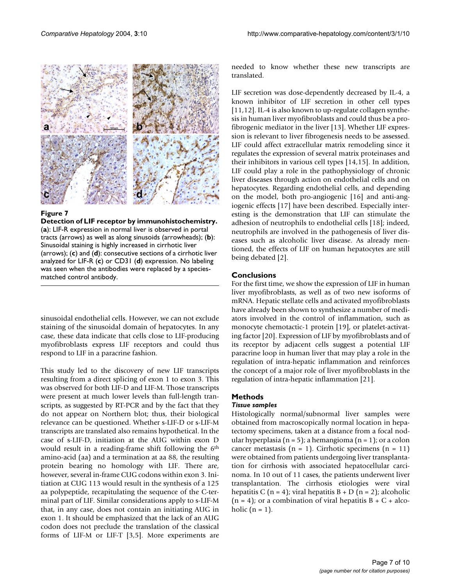<span id="page-7-0"></span>

#### **Figure 7**

**Detection of LIF receptor by immunohistochemistry.**  (**a**): LIF-R expression in normal liver is observed in portal tracts (arrows) as well as along sinusoids (arrowheads); (**b**): Sinusoidal staining is highly increased in cirrhotic liver (arrows); (**c**) and (**d**): consecutive sections of a cirrhotic liver analyzed for LIF-R (**c**) or CD31 (**d**) expression. No labeling was seen when the antibodies were replaced by a speciesmatched control antibody.

sinusoidal endothelial cells. However, we can not exclude staining of the sinusoidal domain of hepatocytes. In any case, these data indicate that cells close to LIF-producing myofibroblasts express LIF receptors and could thus respond to LIF in a paracrine fashion.

This study led to the discovery of new LIF transcripts resulting from a direct splicing of exon 1 to exon 3. This was observed for both LIF-D and LIF-M. Those transcripts were present at much lower levels than full-length transcripts, as suggested by RT-PCR and by the fact that they do not appear on Northern blot; thus, their biological relevance can be questioned. Whether s-LIF-D or s-LIF-M transcripts are translated also remains hypothetical. In the case of s-LIF-D, initiation at the AUG within exon D would result in a reading-frame shift following the 6th amino-acid (aa) and a termination at aa 88, the resulting protein bearing no homology with LIF. There are, however, several in-frame CUG codons within exon 3. Initiation at CUG 113 would result in the synthesis of a 125 aa polypeptide, recapitulating the sequence of the C-terminal part of LIF. Similar considerations apply to s-LIF-M that, in any case, does not contain an initiating AUG in exon 1. It should be emphasized that the lack of an AUG codon does not preclude the translation of the classical forms of LIF-M or LIF-T [3,5]. More experiments are needed to know whether these new transcripts are translated.

LIF secretion was dose-dependently decreased by IL-4, a known inhibitor of LIF secretion in other cell types [11,12]. IL-4 is also known to up-regulate collagen synthesis in human liver myofibroblasts and could thus be a profibrogenic mediator in the liver [13]. Whether LIF expression is relevant to liver fibrogenesis needs to be assessed. LIF could affect extracellular matrix remodeling since it regulates the expression of several matrix proteinases and their inhibitors in various cell types [14,15]. In addition, LIF could play a role in the pathophysiology of chronic liver diseases through action on endothelial cells and on hepatocytes. Regarding endothelial cells, and depending on the model, both pro-angiogenic [16] and anti-angiogenic effects [17] have been described. Especially interesting is the demonstration that LIF can stimulate the adhesion of neutrophils to endothelial cells [18]; indeed, neutrophils are involved in the pathogenesis of liver diseases such as alcoholic liver disease. As already mentioned, the effects of LIF on human hepatocytes are still being debated [2].

### **Conclusions**

For the first time, we show the expression of LIF in human liver myofibroblasts, as well as of two new isoforms of mRNA. Hepatic stellate cells and activated myofibroblasts have already been shown to synthesize a number of mediators involved in the control of inflammation, such as monocyte chemotactic-1 protein [19], or platelet-activating factor [20]. Expression of LIF by myofibroblasts and of its receptor by adjacent cells suggest a potential LIF paracrine loop in human liver that may play a role in the regulation of intra-hepatic inflammation and reinforces the concept of a major role of liver myofibroblasts in the regulation of intra-hepatic inflammation [21].

### **Methods**

#### *Tissue samples*

Histologically normal/subnormal liver samples were obtained from macroscopically normal location in hepatectomy specimens, taken at a distance from a focal nodular hyperplasia (n = 5); a hemangioma (n = 1); or a colon cancer metastasis (n = 1). Cirrhotic specimens (n = 11) were obtained from patients undergoing liver transplantation for cirrhosis with associated hepatocellular carcinoma. In 10 out of 11 cases, the patients underwent liver transplantation. The cirrhosis etiologies were viral hepatitis C (n = 4); viral hepatitis B + D (n = 2); alcoholic  $(n = 4)$ ; or a combination of viral hepatitis  $B + C + a$ lcoholic  $(n = 1)$ .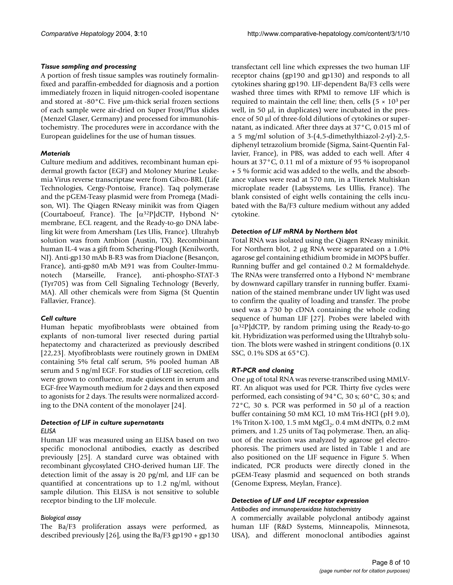#### *Tissue sampling and processing*

A portion of fresh tissue samples was routinely formalinfixed and paraffin-embedded for diagnosis and a portion immediately frozen in liquid nitrogen-cooled isopentane and stored at -80°C. Five µm-thick serial frozen sections of each sample were air-dried on Super Frost/Plus slides (Menzel Glaser, Germany) and processed for immunohistochemistry. The procedures were in accordance with the European guidelines for the use of human tissues.

#### *Materials*

Culture medium and additives, recombinant human epidermal growth factor (EGF) and Moloney Murine Leukemia Virus reverse transcriptase were from Gibco-BRL (Life Technologies, Cergy-Pontoise, France). Taq polymerase and the pGEM-Teasy plasmid were from Promega (Madison, WI). The Qiagen RNeasy minikit was from Qiagen (Courtaboeuf, France). The [α<sup>32</sup>P]dCTP, Hybond N<sup>+</sup> membrane, ECL reagent, and the Ready-to-go DNA labeling kit were from Amersham (Les Ulis, France). Ultrahyb solution was from Ambion (Austin, TX). Recombinant human IL-4 was a gift from Schering-Plough (Kenilworth, NJ). Anti-gp130 mAb B-R3 was from Diaclone (Besançon, France), anti-gp80 mAb M91 was from Coulter-Immunotech (Marseille, France), anti-phospho-STAT-3 (Tyr705) was from Cell Signaling Technology (Beverly, MA). All other chemicals were from Sigma (St Quentin Fallavier, France).

#### *Cell culture*

Human hepatic myofibroblasts were obtained from explants of non-tumoral liver resected during partial hepatectomy and characterized as previously described [22,23]. Myofibroblasts were routinely grown in DMEM containing 5% fetal calf serum, 5% pooled human AB serum and 5 ng/ml EGF. For studies of LIF secretion, cells were grown to confluence, made quiescent in serum and EGF-free Waymouth medium for 2 days and then exposed to agonists for 2 days. The results were normalized according to the DNA content of the monolayer [24].

#### *Detection of LIF in culture supernatants ELISA*

Human LIF was measured using an ELISA based on two specific monoclonal antibodies, exactly as described previously [25]. A standard curve was obtained with recombinant glycosylated CHO-derived human LIF. The detection limit of the assay is 20 pg/ml, and LIF can be quantified at concentrations up to 1.2 ng/ml, without sample dilution. This ELISA is not sensitive to soluble receptor binding to the LIF molecule.

#### *Biological assay*

The Ba/F3 proliferation assays were performed, as described previously [26], using the Ba/F3 gp190 + gp130 transfectant cell line which expresses the two human LIF receptor chains (gp190 and gp130) and responds to all cytokines sharing gp190. LIF-dependent Ba/F3 cells were washed three times with RPMI to remove LIF which is required to maintain the cell line; then, cells  $(5 \times 10^3$  per well, in 50 µl, in duplicates) were incubated in the presence of 50 µl of three-fold dilutions of cytokines or supernatant, as indicated. After three days at 37°C, 0.015 ml of a 5 mg/ml solution of 3-(4,5-dimethylthiazol-2-yl)-2,5 diphenyl tetrazolium bromide (Sigma, Saint-Quentin Fallavier, France), in PBS, was added to each well. After 4 hours at 37°C, 0.11 ml of a mixture of 95 % isopropanol + 5 % formic acid was added to the wells, and the absorbance values were read at 570 nm, in a Titertek Multiskan microplate reader (Labsystems, Les Ullis, France). The blank consisted of eight wells containing the cells incubated with the Ba/F3 culture medium without any added cytokine.

#### *Detection of LIF mRNA by Northern blot*

Total RNA was isolated using the Qiagen RNeasy minikit. For Northern blot, 2 µg RNA were separated on a 1.0% agarose gel containing ethidium bromide in MOPS buffer. Running buffer and gel contained 0.2 M formaldehyde. The RNAs were transferred onto a Hybond  $N<sup>+</sup>$  membrane by downward capillary transfer in running buffer. Examination of the stained membrane under UV light was used to confirm the quality of loading and transfer. The probe used was a 730 bp cDNA containing the whole coding sequence of human LIF [27]. Probes were labeled with  $\alpha^{32}P$  dCTP, by random priming using the Ready-to-go kit. Hybridization was performed using the Ultrahyb solution. The blots were washed in stringent conditions (0.1X SSC, 0.1% SDS at 65°C).

#### *RT-PCR and cloning*

One μg of total RNA was reverse-transcribed using MMLV-RT. An aliquot was used for PCR. Thirty five cycles were performed, each consisting of 94°C, 30 s; 60°C, 30 s; and 72°C, 30 s. PCR was performed in 50 µl of a reaction buffer containing 50 mM KCl, 10 mM Tris-HCl (pH 9.0), 1% Triton X-100, 1.5 mM MgCl<sub>2</sub>, 0.4 mM dNTPs, 0.2 mM primers, and 1.25 units of Taq polymerase. Then, an aliquot of the reaction was analyzed by agarose gel electrophoresis. The primers used are listed in Table [1](#page-4-0) and are also positioned on the LIF sequence in Figure 5. When indicated, PCR products were directly cloned in the pGEM-Teasy plasmid and sequenced on both strands (Genome Express, Meylan, France).

#### *Detection of LIF and LIF receptor expression*

#### *Antibodies and immunoperoxidase histochemistry*

A commercially available polyclonal antibody against human LIF (R&D Systems, Minneapolis, Minnesota, USA), and different monoclonal antibodies against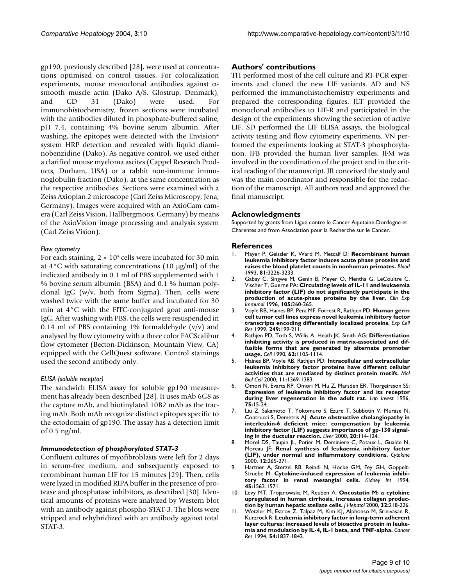gp190, previously described [28], were used at concentrations optimised on control tissues. For colocalization experiments, mouse monoclonal antibodies against αsmooth muscle actin (Dako A/S, Glostrup, Denmark), and CD 31 (Dako) were used. For immunohistochemistry, frozen sections were incubated with the antibodies diluted in phosphate-buffered saline, pH 7.4, containing 4% bovine serum albumin. After washing, the epitopes were detected with the Envision+ system HRP detection and revealed with liquid diaminobenzidine (Dako). As negative control, we used either a clarified mouse myeloma ascites (Cappel Research Products, Durham, USA) or a rabbit non-immune immunoglobulin fraction (Dako), at the same concentration as the respective antibodies. Sections were examined with a Zeiss Axioplan 2 microscope (Carl Zeiss Microscopy, Jena, Germany). Images were acquired with an AxioCam camera (Carl Zeiss Vision, Hallbergmoos, Germany) by means of the AxioVision image processing and analysis system (Carl Zeiss Vision).

#### *Flow cytometry*

For each staining,  $2 \times 10^5$  cells were incubated for 30 min at  $4^{\circ}$ C with saturating concentrations (10  $\mu$ g/ml) of the indicated antibody in 0.1 ml of PBS supplemented with 1 % bovine serum albumin (BSA) and 0.1 % human polyclonal IgG (w/v, both from Sigma). Then, cells were washed twice with the same buffer and incubated for 30 min at 4°C with the FITC-conjugated goat anti-mouse IgG. After washing with PBS, the cells were resuspended in 0.14 ml of PBS containing 1% formaldehyde  $(v/v)$  and analysed by flow cytometry with a three color FACScalibur flow cytometer (Becton-Dickinson, Mountain View, CA) equipped with the CellQuest software. Control stainings used the second antibody only.

#### *ELISA (soluble receptor)*

The sandwich ELISA assay for soluble gp190 measurement has already been described [28]. It uses mAb 6G8 as the capture mAb, and biotinylated 10B2 mAb as the tracing mAb. Both mAb recognize distinct epitopes specific to the ectodomain of gp190. The assay has a detection limit of 0.5 ng/ml.

#### *Immunodetection of phosphorylated STAT-3*

Confluent cultures of myofibroblasts were left for 2 days in serum-free medium, and subsequently exposed to recombinant human LIF for 15 minutes [29]. Then, cells were lyzed in modified RIPA buffer in the presence of protease and phosphatase inhibitors, as described [30]. Identical amounts of proteins were analyzed by Western blot with an antibody against phospho-STAT-3. The blots were stripped and rehybridized with an antibody against total STAT-3.

#### **Authors' contributions**

TH performed most of the cell culture and RT-PCR experiments and cloned the new LIF variants. AD and NS performed the immunohistochemistry experiments and prepared the corresponding figures. JLT provided the monoclonal antibodies to LIF-R and participated in the design of the experiments showing the secretion of active LIF. SD performed the LIF ELISA assays, the biological activity testing and flow cytometry experiments. VN performed the experiments looking at STAT-3 phosphorylation. JFB provided the human liver samples. JFM was involved in the coordination of the project and in the critical reading of the manuscript. JR conceived the study and was the main coordinator and responsible for the redaction of the manuscript. All authors read and approved the final manuscript.

#### **Acknowledgments**

Supported by grants from Ligue contre le Cancer Aquitaine-Dordogne et Charentes and from Association pour la Recherche sur le Cancer.

#### **References**

- 1. Mayer P, Geissler K, Ward M, Metcalf D: **[Recombinant human](http://www.ncbi.nlm.nih.gov/entrez/query.fcgi?cmd=Retrieve&db=PubMed&dopt=Abstract&list_uids=7685199) [leukemia inhibitory factor induces acute phase proteins and](http://www.ncbi.nlm.nih.gov/entrez/query.fcgi?cmd=Retrieve&db=PubMed&dopt=Abstract&list_uids=7685199) [raises the blood platelet counts in nonhuman primates.](http://www.ncbi.nlm.nih.gov/entrez/query.fcgi?cmd=Retrieve&db=PubMed&dopt=Abstract&list_uids=7685199)** *Blood* 1993, **81:**3226-3233.
- 2. Gabay C, Singwe M, Genin B, Meyer O, Mentha G, LeCoultre C, Vischer T, Guerne PA: **[Circulating levels of IL-11 and leukaemia](http://www.ncbi.nlm.nih.gov/entrez/query.fcgi?cmd=Retrieve&db=PubMed&dopt=Abstract&list_uids=8706331) [inhibitory factor \(LIF\) do not significantly participate in the](http://www.ncbi.nlm.nih.gov/entrez/query.fcgi?cmd=Retrieve&db=PubMed&dopt=Abstract&list_uids=8706331) [production of acute-phase proteins by the liver.](http://www.ncbi.nlm.nih.gov/entrez/query.fcgi?cmd=Retrieve&db=PubMed&dopt=Abstract&list_uids=8706331)** *Clin Exp Immunol* 1996, **105:**260-265.
- 3. Voyle RB, Haines BP, Pera MF, Forrest R, Rathjen PD: **[Human germ](http://www.ncbi.nlm.nih.gov/entrez/query.fcgi?cmd=Retrieve&db=PubMed&dopt=Abstract&list_uids=10366419) [cell tumor cell lines express novel leukemia inhibitory factor](http://www.ncbi.nlm.nih.gov/entrez/query.fcgi?cmd=Retrieve&db=PubMed&dopt=Abstract&list_uids=10366419) [transcripts encoding differentially localized proteins.](http://www.ncbi.nlm.nih.gov/entrez/query.fcgi?cmd=Retrieve&db=PubMed&dopt=Abstract&list_uids=10366419)** *Exp Cell Res* 1999, **249:**199-211.
- 4. Rathjen PD, Toth S, Willis A, Heath JK, Smith AG: **[Differentiation](http://www.ncbi.nlm.nih.gov/entrez/query.fcgi?cmd=Retrieve&db=PubMed&dopt=Abstract&list_uids=2119255) [inhibiting activity is produced in matrix-associated and dif](http://www.ncbi.nlm.nih.gov/entrez/query.fcgi?cmd=Retrieve&db=PubMed&dopt=Abstract&list_uids=2119255)fusible forms that are generated by alternate promoter [usage.](http://www.ncbi.nlm.nih.gov/entrez/query.fcgi?cmd=Retrieve&db=PubMed&dopt=Abstract&list_uids=2119255)** *Cell* 1990, **62:**1105-1114.
- 5. Haines BP, Voyle RB, Rathjen PD: **[Intracellular and extracellular](http://www.ncbi.nlm.nih.gov/entrez/query.fcgi?cmd=Retrieve&db=PubMed&dopt=Abstract&list_uids=10749936) [leukemia inhibitory factor proteins have different cellular](http://www.ncbi.nlm.nih.gov/entrez/query.fcgi?cmd=Retrieve&db=PubMed&dopt=Abstract&list_uids=10749936) [activities that are mediated by distinct protein motifs.](http://www.ncbi.nlm.nih.gov/entrez/query.fcgi?cmd=Retrieve&db=PubMed&dopt=Abstract&list_uids=10749936)** *Mol Biol Cell* 2000, **11:**1369-1383.
- 6. Omori N, Evarts RP, Omori M, Hu Z, Marsden ER, Thorgeirsson SS: **[Expression of leukemia inhibitory factor and its receptor](http://www.ncbi.nlm.nih.gov/entrez/query.fcgi?cmd=Retrieve&db=PubMed&dopt=Abstract&list_uids=8683936) [during liver regeneration in the adult rat.](http://www.ncbi.nlm.nih.gov/entrez/query.fcgi?cmd=Retrieve&db=PubMed&dopt=Abstract&list_uids=8683936)** *Lab Invest* 1996, **75:**15-24.
- 7. Liu Z, Sakamoto T, Yokomuro S, Ezure T, Subbotin V, Murase N, Contrucci S, Demetris AJ: **[Acute obstructive cholangiopathy in](http://www.ncbi.nlm.nih.gov/entrez/query.fcgi?cmd=Retrieve&db=PubMed&dopt=Abstract&list_uids=10847479) [interleukin-6 deficient mice: compensation by leukemia](http://www.ncbi.nlm.nih.gov/entrez/query.fcgi?cmd=Retrieve&db=PubMed&dopt=Abstract&list_uids=10847479) inhibitory factor (LIF) suggests importance of gp-130 signal[ing in the ductular reaction.](http://www.ncbi.nlm.nih.gov/entrez/query.fcgi?cmd=Retrieve&db=PubMed&dopt=Abstract&list_uids=10847479)** *Liver* 2000, **20:**114-124.
- 8. Morel DS, Taupin JL, Potier M, Deminiere C, Potaux L, Gualde N, Moreau JF: **[Renal synthesis of leukaemia inhibitory factor](http://www.ncbi.nlm.nih.gov/entrez/query.fcgi?cmd=Retrieve&db=PubMed&dopt=Abstract&list_uids=10704254) [\(LIF\), under normal and inflammatory conditions.](http://www.ncbi.nlm.nih.gov/entrez/query.fcgi?cmd=Retrieve&db=PubMed&dopt=Abstract&list_uids=10704254)** *Cytokine* 2000, **12:**265-271.
- 9. Hartner A, Sterzel RB, Reindl N, Hocke GM, Fey GH, Goppelt-Struebe M: **[Cytokine-induced expression of leukemia inhibi](http://www.ncbi.nlm.nih.gov/entrez/query.fcgi?cmd=Retrieve&db=PubMed&dopt=Abstract&list_uids=7933804)[tory factor in renal mesangial cells.](http://www.ncbi.nlm.nih.gov/entrez/query.fcgi?cmd=Retrieve&db=PubMed&dopt=Abstract&list_uids=7933804)** *Kidney Int* 1994, **45:**1562-1571.
- 10. Levy MT, Trojanowska M, Reuben A: **[Oncostatin M: a cytokine](http://www.ncbi.nlm.nih.gov/entrez/query.fcgi?cmd=Retrieve&db=PubMed&dopt=Abstract&list_uids=10707861) [upregulated in human cirrhosis, increases collagen produc](http://www.ncbi.nlm.nih.gov/entrez/query.fcgi?cmd=Retrieve&db=PubMed&dopt=Abstract&list_uids=10707861)[tion by human hepatic stellate cells.](http://www.ncbi.nlm.nih.gov/entrez/query.fcgi?cmd=Retrieve&db=PubMed&dopt=Abstract&list_uids=10707861)** *J Hepatol* 2000, **32:**218-226.
- 11. Wetzler M, Estrov Z, Talpaz M, Kim KJ, Alphonso M, Srinivasan R, Kurzrock R: **[Leukemia inhibitory factor in long-term adherent](http://www.ncbi.nlm.nih.gov/entrez/query.fcgi?cmd=Retrieve&db=PubMed&dopt=Abstract&list_uids=8137298) [layer cultures: increased levels of bioactive protein in leuke](http://www.ncbi.nlm.nih.gov/entrez/query.fcgi?cmd=Retrieve&db=PubMed&dopt=Abstract&list_uids=8137298)[mia and modulation by IL-4, IL-1 beta, and TNF-alpha.](http://www.ncbi.nlm.nih.gov/entrez/query.fcgi?cmd=Retrieve&db=PubMed&dopt=Abstract&list_uids=8137298)** *Cancer Res* 1994, **54:**1837-1842.